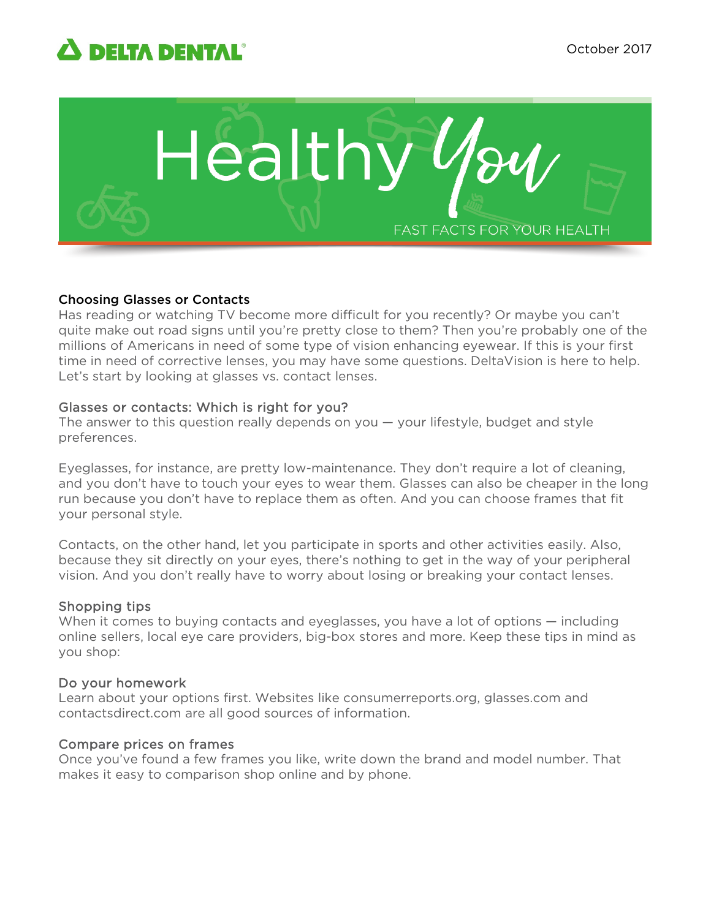# **A DELTA DENTAL**®



## Choosing Glasses or Contacts

Has reading or watching TV become more difficult for you recently? Or maybe you can't quite make out road signs until you're pretty close to them? Then you're probably one of the millions of Americans in need of some type of vision enhancing eyewear. If this is your first time in need of corrective lenses, you may have some questions. DeltaVision is here to help. Let's start by looking at glasses vs. contact lenses.

## Glasses or contacts: Which is right for you?

The answer to this question really depends on you — your lifestyle, budget and style preferences.

Eyeglasses, for instance, are pretty low-maintenance. They don't require a lot of cleaning, and you don't have to touch your eyes to wear them. Glasses can also be cheaper in the long run because you don't have to replace them as often. And you can choose frames that fit your personal style.

Contacts, on the other hand, let you participate in sports and other activities easily. Also, because they sit directly on your eyes, there's nothing to get in the way of your peripheral vision. And you don't really have to worry about losing or breaking your contact lenses.

# Shopping tips

When it comes to buying contacts and eyeglasses, you have a lot of options — including online sellers, local eye care providers, big-box stores and more. Keep these tips in mind as you shop:

## Do your homework

Learn about your options first. Websites like consumerreports.org, glasses.com and contactsdirect.com are all good sources of information.

# Compare prices on frames

Once you've found a few frames you like, write down the brand and model number. That makes it easy to comparison shop online and by phone.